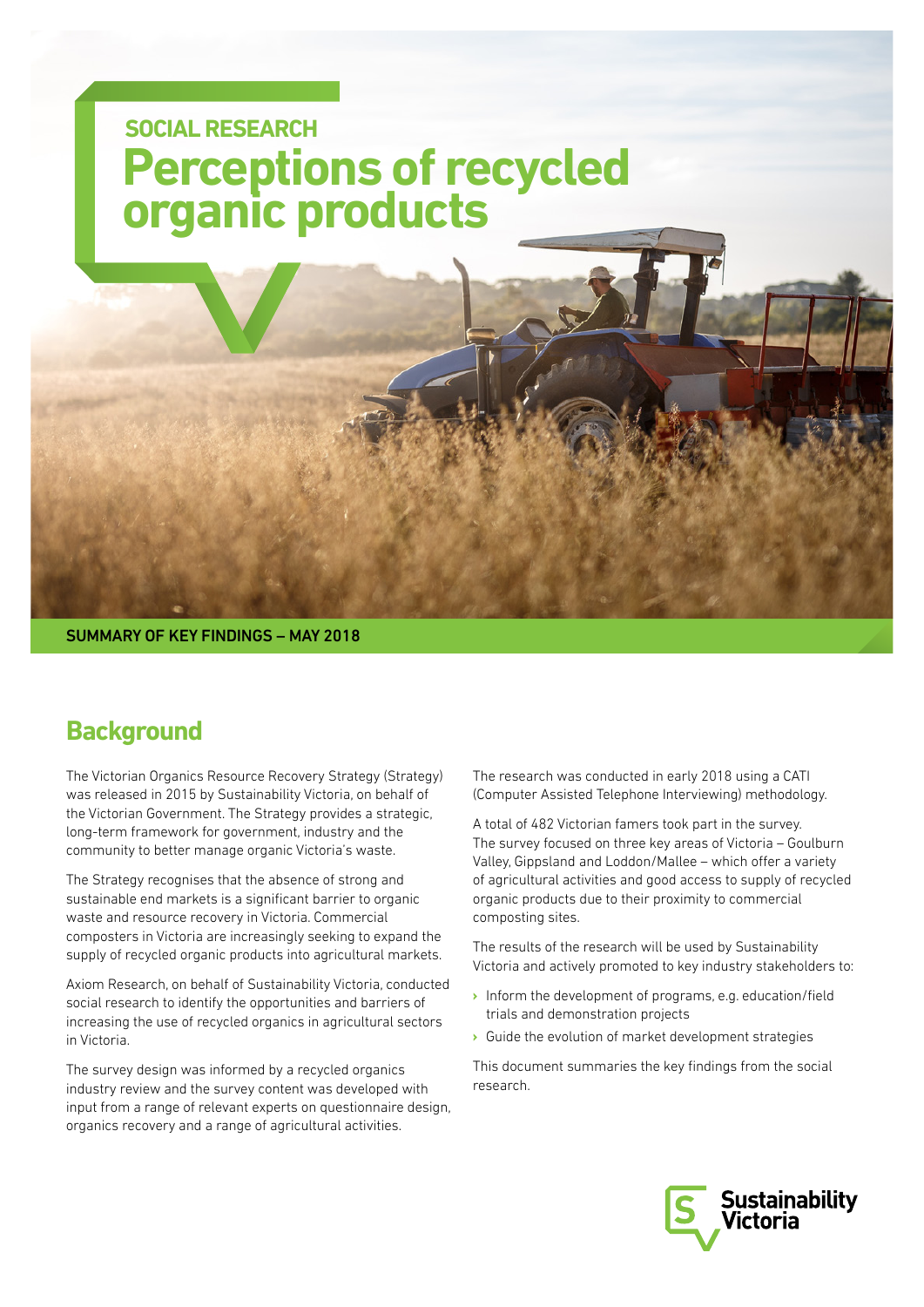### **Perceptions of recycled organic products SOCIAL RESEARCH**

SUMMARY OF KEY FINDINGS – MAY 2018

### **Background**

The Victorian Organics Resource Recovery Strategy (Strategy) was released in 2015 by Sustainability Victoria, on behalf of the Victorian Government. The Strategy provides a strategic, long-term framework for government, industry and the community to better manage organic Victoria's waste.

The Strategy recognises that the absence of strong and sustainable end markets is a significant barrier to organic waste and resource recovery in Victoria. Commercial composters in Victoria are increasingly seeking to expand the supply of recycled organic products into agricultural markets.

Axiom Research, on behalf of Sustainability Victoria, conducted social research to identify the opportunities and barriers of increasing the use of recycled organics in agricultural sectors in Victoria.

The survey design was informed by a recycled organics industry review and the survey content was developed with input from a range of relevant experts on questionnaire design, organics recovery and a range of agricultural activities.

The research was conducted in early 2018 using a CATI (Computer Assisted Telephone Interviewing) methodology.

A total of 482 Victorian famers took part in the survey. The survey focused on three key areas of Victoria – Goulburn Valley, Gippsland and Loddon/Mallee – which offer a variety of agricultural activities and good access to supply of recycled organic products due to their proximity to commercial composting sites.

The results of the research will be used by Sustainability Victoria and actively promoted to key industry stakeholders to:

- › Inform the development of programs, e.g. education/field trials and demonstration projects
- › Guide the evolution of market development strategies

This document summaries the key findings from the social research.

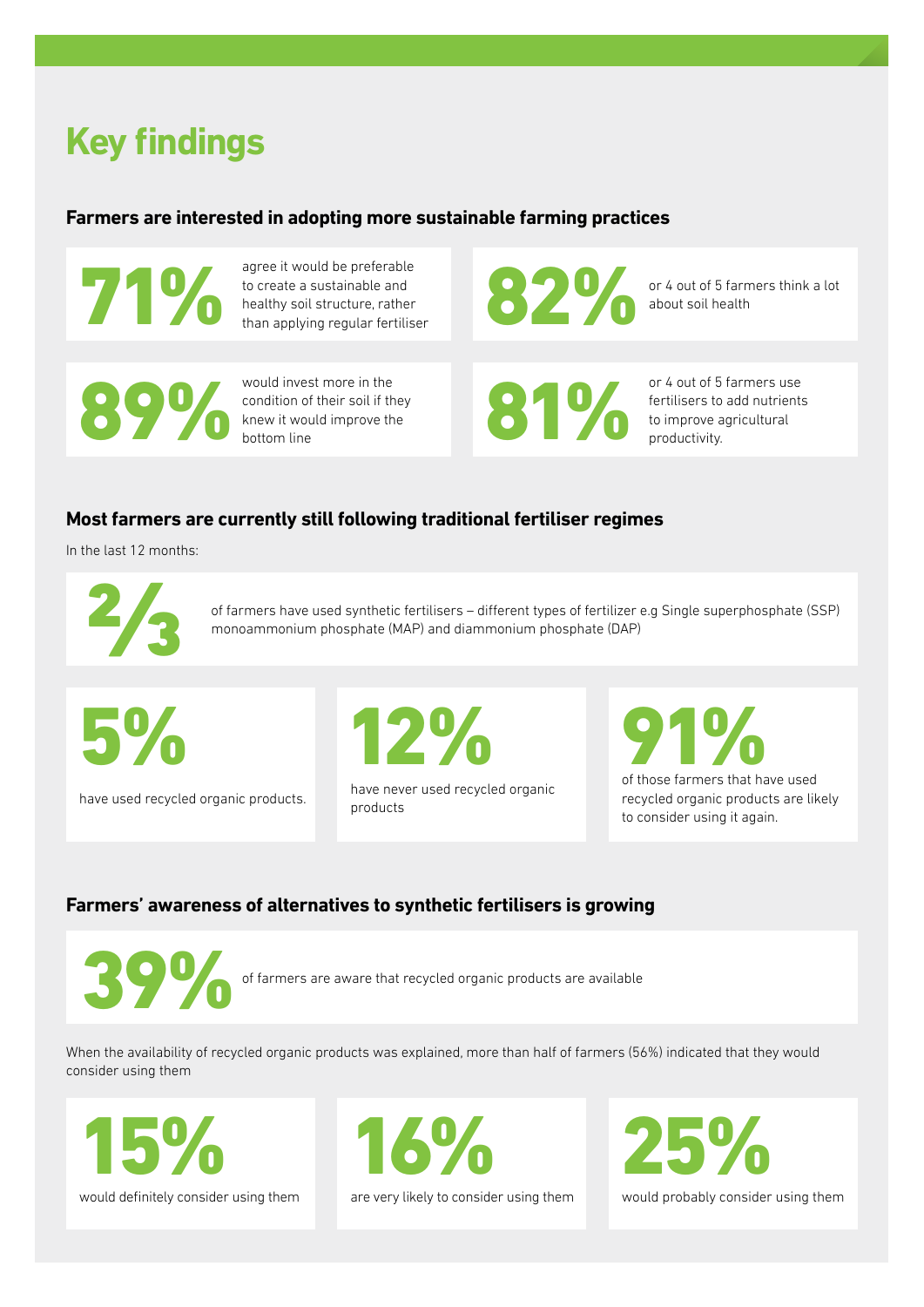# **Key findings**

#### **Farmers are interested in adopting more sustainable farming practices**

agree it would be preferable to create a sustainable and to create a sustainable and<br>thealthy soil structure, rather<br>than applying regular fertiliser

would invest more in the<br>condition of their soil if they<br>knew it would improve the<br>bottom line

would invest more in the condition of their soil if they or 4 out of 5 farmers think a lot

or 4 out of 5 farmers use fertilisers to add nutrients **BEDEE ALL AND STATES AND STATES AND STATES AND STATES AND STATES AND STATES AND STATES AND STATES AND STATES AND STATES AND STATES AND STATES AND STATES AND STATES AND STATES AND STATES AND STATES AND STATES AND STATES AN** 

#### **Most farmers are currently still following traditional fertiliser regimes**

In the last 12 months:

of farmers have used synthetic fertilisers – different types of fertilizer e.g Single superphosphate (SSP) monoammonium phosphate (MAP) and diammonium phosphate (DAP)

5%

have used recycled organic products.

12%

have never used recycled organic products

of those farmers that have used

recycled organic products are likely to consider using it again.

#### **Farmers' awareness of alternatives to synthetic fertilisers is growing**



of farmers are aware that recycled organic products are available

When the availability of recycled organic products was explained, more than half of farmers (56%) indicated that they would consider using them

15% would definitely consider using them



are very likely to consider using them



would probably consider using them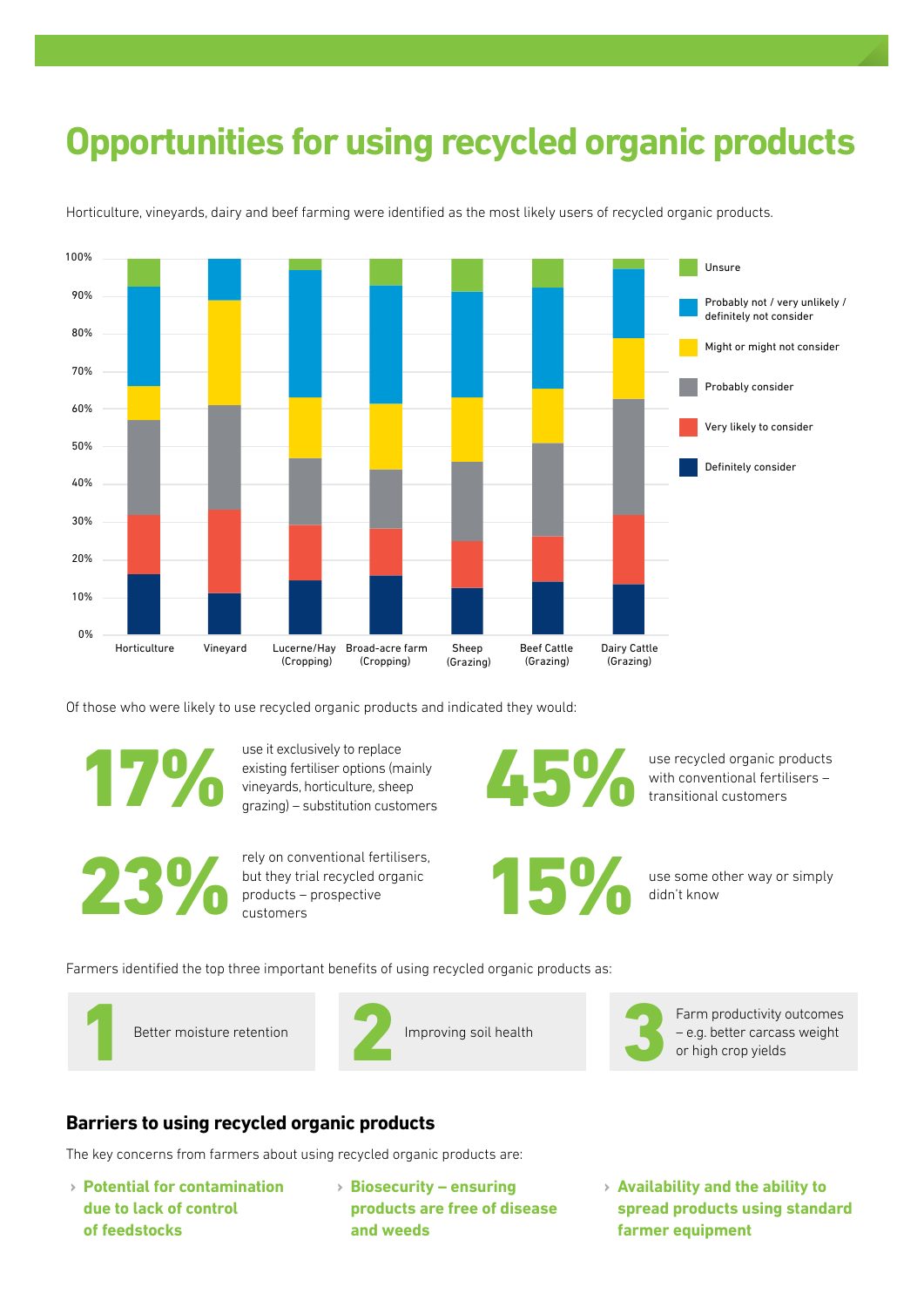## **Opportunities for using recycled organic products**



Horticulture, vineyards, dairy and beef farming were identified as the most likely users of recycled organic products.

Of those who were likely to use recycled organic products and indicated they would:

use it exclusively to replace existing fertiliser options (mainly wise it exclusively to replace<br>existing fertiliser options (mainly<br>grazing) – substitution customers

products – prospective customers

rely on conventional fertilisers, but they trial recycled organic

use recycled organic products with conventional fertilisers –

use some other way or simply<br>didn't know

Farmers identified the top three important benefits of using recycled organic products as:



Better moisture retention 1





Improving soil health 2 Farm productivity outcomes<br>
2 Farm productivity outcomes<br>
2 Farm productivity outcomes<br>
or high crop yields Farm productivity outcomes<br>– e.g. better carcass weight<br>or high crop yields

#### **Barriers to using recycled organic products**

The key concerns from farmers about using recycled organic products are:

- › **Potential for contamination due to lack of control of feedstocks**
- › **Biosecurity ensuring products are free of disease and weeds**
- › **Availability and the ability to spread products using standard farmer equipment**